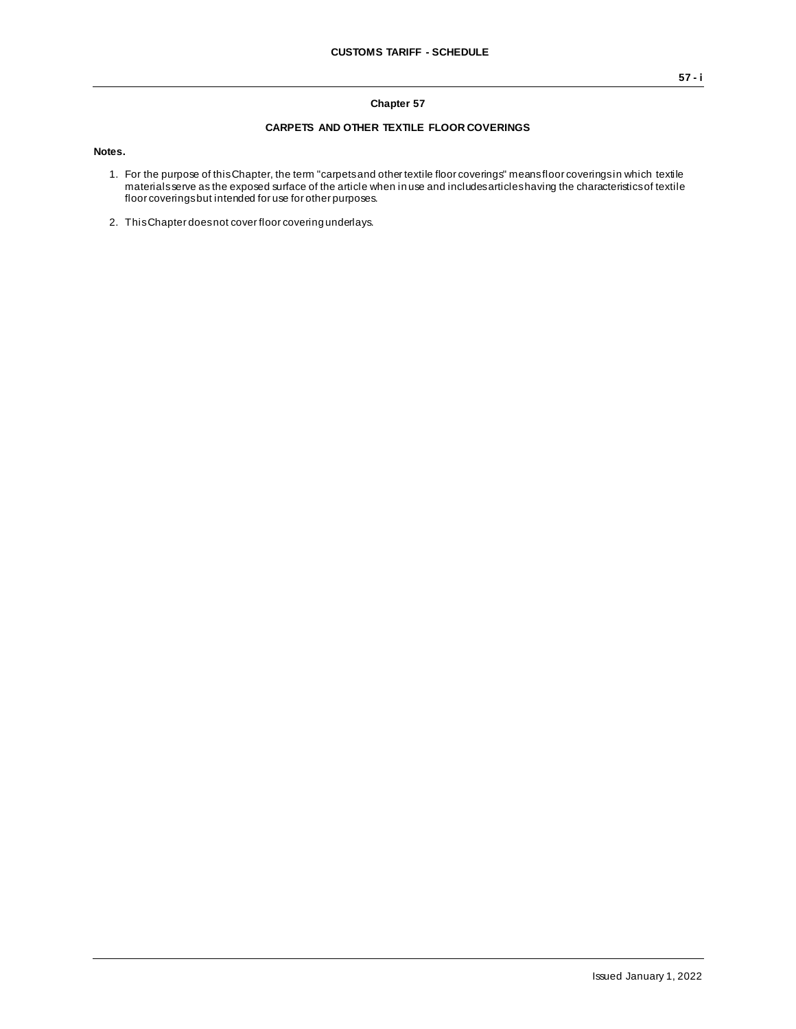## **Chapter 57**

## **CARPETS AND OTHER TEXTILE FLOOR COVERINGS**

**Notes.**

- 1. For the purpose of this Chapter, the term "carpets and other textile floor coverings" means floor coverings in which textile materials serve as the exposed surface of the article when in use and includes articles having the characteristics of textile floor coverings but intended for use for other purposes.
- 2. This Chapter does not cover floor covering underlays.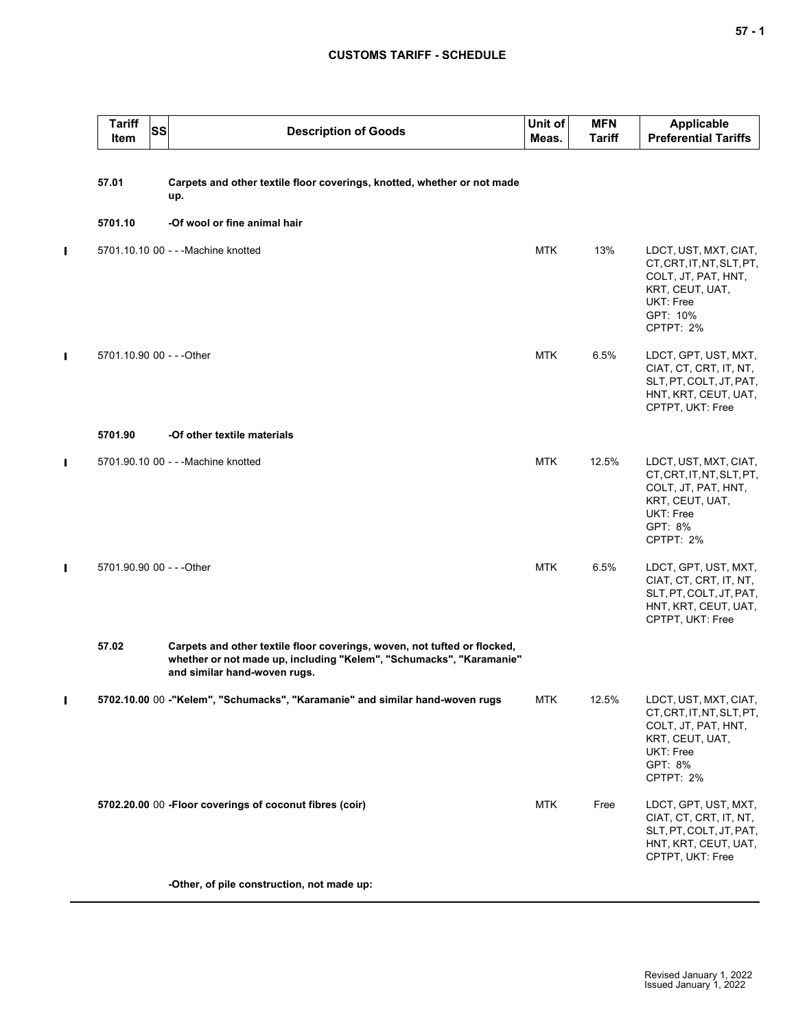## **CUSTOMS TARIFF - SCHEDULE**

|                | <b>Tariff</b><br><b>SS</b><br>Item | <b>Description of Goods</b>                                                                                                                                                     | Unit of<br>Meas. | <b>MFN</b><br><b>Tariff</b> | <b>Applicable</b><br><b>Preferential Tariffs</b>                                                                                         |
|----------------|------------------------------------|---------------------------------------------------------------------------------------------------------------------------------------------------------------------------------|------------------|-----------------------------|------------------------------------------------------------------------------------------------------------------------------------------|
|                | 57.01                              | Carpets and other textile floor coverings, knotted, whether or not made<br>up.                                                                                                  |                  |                             |                                                                                                                                          |
|                | 5701.10                            | -Of wool or fine animal hair                                                                                                                                                    |                  |                             |                                                                                                                                          |
| $\blacksquare$ |                                    | 5701.10.10 00 - - - Machine knotted                                                                                                                                             | <b>MTK</b>       | 13%                         | LDCT, UST, MXT, CIAT,<br>CT, CRT, IT, NT, SLT, PT,<br>COLT, JT, PAT, HNT,<br>KRT, CEUT, UAT,<br>UKT: Free<br>GPT: 10%<br>CPTPT: 2%       |
| п              | 5701.10.90 00 - - - Other          |                                                                                                                                                                                 | <b>MTK</b>       | 6.5%                        | LDCT, GPT, UST, MXT,<br>CIAT, CT, CRT, IT, NT,<br>SLT, PT, COLT, JT, PAT,<br>HNT, KRT, CEUT, UAT,<br>CPTPT, UKT: Free                    |
|                | 5701.90                            | -Of other textile materials                                                                                                                                                     |                  |                             |                                                                                                                                          |
| П              |                                    | 5701.90.10 00 - - - Machine knotted                                                                                                                                             | <b>MTK</b>       | 12.5%                       | LDCT, UST, MXT, CIAT,<br>CT, CRT, IT, NT, SLT, PT,<br>COLT, JT, PAT, HNT,<br>KRT, CEUT, UAT,<br><b>UKT: Free</b><br>GPT: 8%<br>CPTPT: 2% |
| П              | 5701.90.90 00 - - - Other          |                                                                                                                                                                                 | <b>MTK</b>       | 6.5%                        | LDCT, GPT, UST, MXT,<br>CIAT, CT, CRT, IT, NT,<br>SLT, PT, COLT, JT, PAT,<br>HNT, KRT, CEUT, UAT,<br>CPTPT, UKT: Free                    |
|                | 57.02                              | Carpets and other textile floor coverings, woven, not tufted or flocked,<br>whether or not made up, including "Kelem", "Schumacks", "Karamanie"<br>and similar hand-woven rugs. |                  |                             |                                                                                                                                          |
| Ш              |                                    | 5702.10.00 00 -"Kelem", "Schumacks", "Karamanie" and similar hand-woven rugs                                                                                                    | <b>MTK</b>       | 12.5%                       | LDCT, UST, MXT, CIAT,<br>CT.CRT.IT.NT.SLT.PT.<br>COLT, JT, PAT, HNT,<br>KRT, CEUT, UAT,<br>UKT: Free<br>GPT: 8%<br>CPTPT: 2%             |
|                |                                    | 5702.20.00 00 - Floor coverings of coconut fibres (coir)                                                                                                                        | <b>MTK</b>       | Free                        | LDCT, GPT, UST, MXT,<br>CIAT, CT, CRT, IT, NT,<br>SLT, PT, COLT, JT, PAT,<br>HNT, KRT, CEUT, UAT,<br>CPTPT, UKT: Free                    |
|                |                                    | -Other, of pile construction, not made up:                                                                                                                                      |                  |                             |                                                                                                                                          |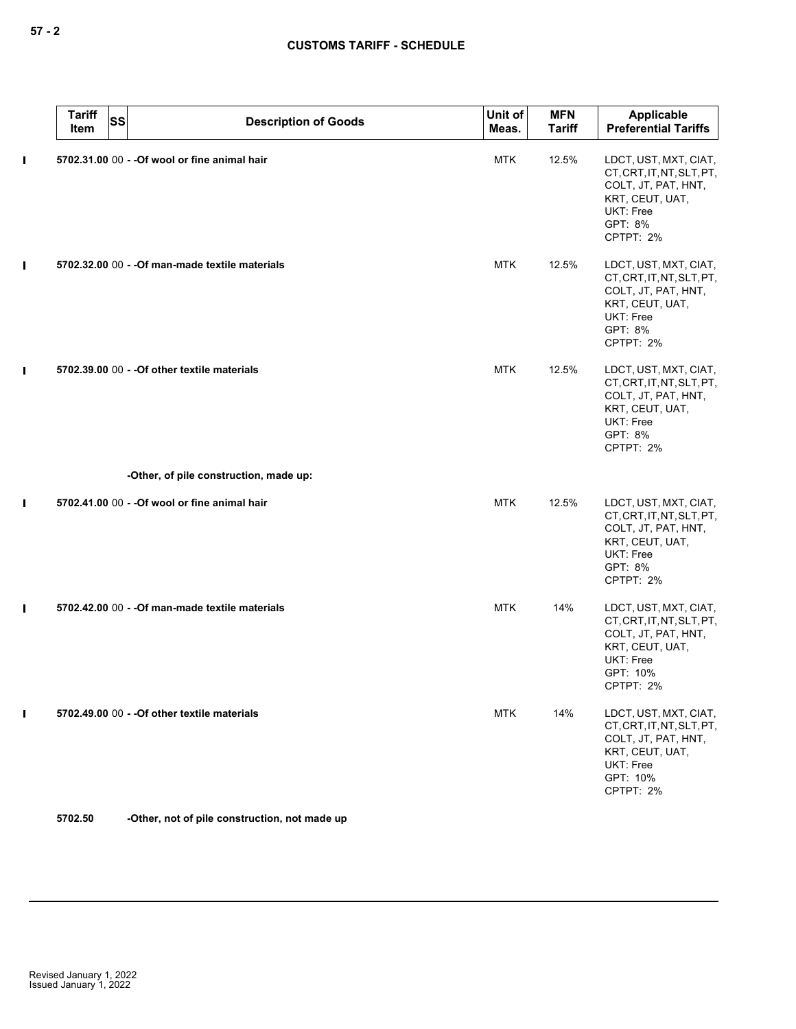|                | <b>Tariff</b><br><b>SS</b><br>Item | <b>Description of Goods</b>                     | Unit of<br>Meas. | <b>MFN</b><br><b>Tariff</b> | Applicable<br><b>Preferential Tariffs</b>                                                                                          |
|----------------|------------------------------------|-------------------------------------------------|------------------|-----------------------------|------------------------------------------------------------------------------------------------------------------------------------|
| $\blacksquare$ |                                    | 5702.31.00 00 - - Of wool or fine animal hair   | <b>MTK</b>       | 12.5%                       | LDCT, UST, MXT, CIAT,<br>CT, CRT, IT, NT, SLT, PT,<br>COLT, JT, PAT, HNT,<br>KRT, CEUT, UAT,<br>UKT: Free<br>GPT: 8%<br>CPTPT: 2%  |
| Ш              |                                    | 5702.32.00 00 - - Of man-made textile materials | <b>MTK</b>       | 12.5%                       | LDCT, UST, MXT, CIAT,<br>CT, CRT, IT, NT, SLT, PT,<br>COLT, JT, PAT, HNT,<br>KRT, CEUT, UAT,<br>UKT: Free<br>GPT: 8%<br>CPTPT: 2%  |
| $\blacksquare$ |                                    | 5702.39.00 00 - - Of other textile materials    | <b>MTK</b>       | 12.5%                       | LDCT, UST, MXT, CIAT,<br>CT, CRT, IT, NT, SLT, PT,<br>COLT, JT, PAT, HNT,<br>KRT, CEUT, UAT,<br>UKT: Free<br>GPT: 8%<br>CPTPT: 2%  |
|                |                                    | -Other, of pile construction, made up:          |                  |                             |                                                                                                                                    |
| $\blacksquare$ |                                    | 5702.41.00 00 - - Of wool or fine animal hair   | <b>MTK</b>       | 12.5%                       | LDCT, UST, MXT, CIAT,<br>CT, CRT, IT, NT, SLT, PT,<br>COLT, JT, PAT, HNT,<br>KRT, CEUT, UAT,<br>UKT: Free<br>GPT: 8%<br>CPTPT: 2%  |
| $\blacksquare$ |                                    | 5702.42.00 00 - - Of man-made textile materials | <b>MTK</b>       | 14%                         | LDCT, UST, MXT, CIAT,<br>CT, CRT, IT, NT, SLT, PT,<br>COLT, JT, PAT, HNT,<br>KRT, CEUT, UAT,<br>UKT: Free<br>GPT: 10%<br>CPTPT: 2% |
|                |                                    | 5702.49.00 00 - - Of other textile materials    | <b>MTK</b>       | 14%                         | LDCT, UST, MXT, CIAT,<br>CT, CRT, IT, NT, SLT, PT,<br>COLT, JT, PAT, HNT,<br>KRT, CEUT, UAT,<br>UKT: Free<br>GPT: 10%<br>CPTPT: 2% |

**5702.50 -Other, not of pile construction, not made up**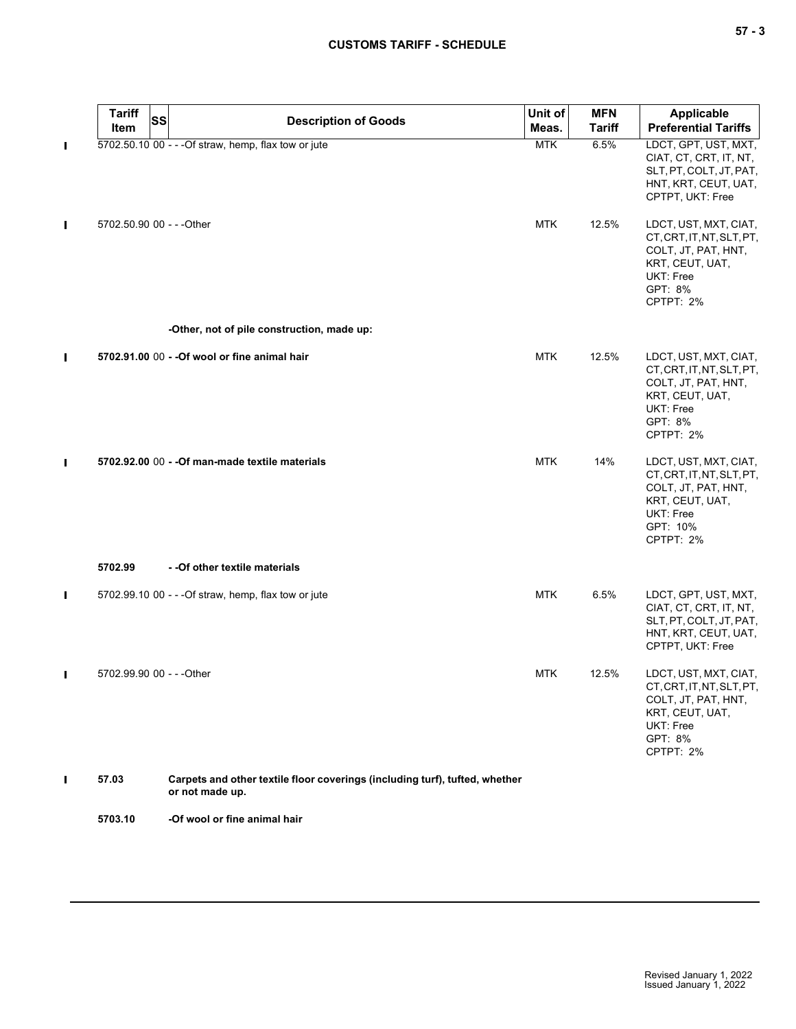|                | <b>Tariff</b><br><b>SS</b><br>Item | <b>Description of Goods</b>                                                                    | Unit of<br>Meas. | <b>MFN</b><br><b>Tariff</b> | <b>Applicable</b><br><b>Preferential Tariffs</b>                                                                                   |
|----------------|------------------------------------|------------------------------------------------------------------------------------------------|------------------|-----------------------------|------------------------------------------------------------------------------------------------------------------------------------|
| П              |                                    | 5702.50.10 00 - - - Of straw, hemp, flax tow or jute                                           | <b>MTK</b>       | 6.5%                        | LDCT, GPT, UST, MXT,<br>CIAT, CT, CRT, IT, NT,<br>SLT, PT, COLT, JT, PAT,<br>HNT, KRT, CEUT, UAT,<br>CPTPT, UKT: Free              |
| П              | 5702.50.90 00 - - - Other          |                                                                                                | <b>MTK</b>       | 12.5%                       | LDCT, UST, MXT, CIAT,<br>CT, CRT, IT, NT, SLT, PT,<br>COLT, JT, PAT, HNT,<br>KRT, CEUT, UAT,<br>UKT: Free<br>GPT: 8%<br>CPTPT: 2%  |
|                |                                    | -Other, not of pile construction, made up:                                                     |                  |                             |                                                                                                                                    |
| П              |                                    | 5702.91.00 00 - - Of wool or fine animal hair                                                  | <b>MTK</b>       | 12.5%                       | LDCT, UST, MXT, CIAT,<br>CT, CRT, IT, NT, SLT, PT,<br>COLT, JT, PAT, HNT,<br>KRT, CEUT, UAT,<br>UKT: Free<br>GPT: 8%<br>CPTPT: 2%  |
| П              |                                    | 5702.92.00 00 - - Of man-made textile materials                                                | <b>MTK</b>       | 14%                         | LDCT, UST, MXT, CIAT,<br>CT, CRT, IT, NT, SLT, PT,<br>COLT, JT, PAT, HNT,<br>KRT, CEUT, UAT,<br>UKT: Free<br>GPT: 10%<br>CPTPT: 2% |
|                | 5702.99                            | - - Of other textile materials                                                                 |                  |                             |                                                                                                                                    |
| П              |                                    | 5702.99.10 00 - - - Of straw, hemp, flax tow or jute                                           | <b>MTK</b>       | 6.5%                        | LDCT, GPT, UST, MXT,<br>CIAT, CT, CRT, IT, NT,<br>SLT, PT, COLT, JT, PAT,<br>HNT, KRT, CEUT, UAT,<br>CPTPT, UKT: Free              |
| $\blacksquare$ | 5702.99.90 00 - - - Other          |                                                                                                | <b>MTK</b>       | 12.5%                       | LDCT, UST, MXT, CIAT,<br>CT, CRT, IT, NT, SLT, PT,<br>COLT, JT, PAT, HNT,<br>KRT, CEUT, UAT,<br>UKT: Free<br>GPT: 8%<br>CPTPT: 2%  |
| П              | 57.03                              | Carpets and other textile floor coverings (including turf), tufted, whether<br>or not made up. |                  |                             |                                                                                                                                    |
|                | 5703.10                            | -Of wool or fine animal hair                                                                   |                  |                             |                                                                                                                                    |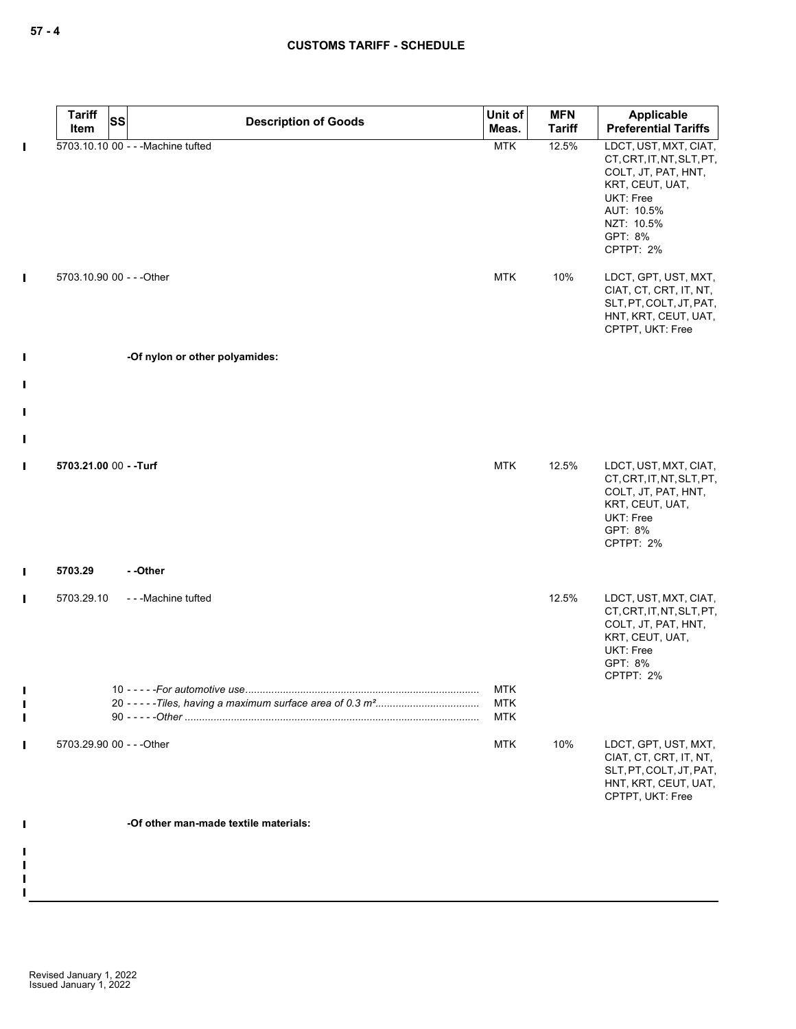|              | <b>Tariff</b>             | <b>SS</b> | <b>Description of Goods</b>           | Unit of                  | <b>MFN</b>    | Applicable                                                                                                                                                                            |
|--------------|---------------------------|-----------|---------------------------------------|--------------------------|---------------|---------------------------------------------------------------------------------------------------------------------------------------------------------------------------------------|
|              | Item                      |           |                                       | Meas.                    | <b>Tariff</b> | <b>Preferential Tariffs</b>                                                                                                                                                           |
| Т<br>Т       | 5703.10.90 00 - - - Other |           | 5703.10.10 00 - - - Machine tufted    | <b>MTK</b><br><b>MTK</b> | 12.5%<br>10%  | LDCT, UST, MXT, CIAT,<br>CT, CRT, IT, NT, SLT, PT,<br>COLT, JT, PAT, HNT,<br>KRT, CEUT, UAT,<br>UKT: Free<br>AUT: 10.5%<br>NZT: 10.5%<br>GPT: 8%<br>CPTPT: 2%<br>LDCT, GPT, UST, MXT, |
|              |                           |           |                                       |                          |               | CIAT, CT, CRT, IT, NT,<br>SLT, PT, COLT, JT, PAT,<br>HNT, KRT, CEUT, UAT,<br>CPTPT, UKT: Free                                                                                         |
| $\mathbf I$  |                           |           | -Of nylon or other polyamides:        |                          |               |                                                                                                                                                                                       |
| $\mathbf I$  |                           |           |                                       |                          |               |                                                                                                                                                                                       |
| $\mathbf I$  |                           |           |                                       |                          |               |                                                                                                                                                                                       |
|              |                           |           |                                       |                          |               |                                                                                                                                                                                       |
| $\mathbf I$  |                           |           |                                       |                          |               |                                                                                                                                                                                       |
| $\mathbf I$  | 5703.21.00 00 - - Turf    |           |                                       | <b>MTK</b>               | 12.5%         | LDCT, UST, MXT, CIAT,<br>CT, CRT, IT, NT, SLT, PT,<br>COLT, JT, PAT, HNT,<br>KRT, CEUT, UAT,<br>UKT: Free<br>GPT: 8%<br>CPTPT: 2%                                                     |
| $\mathbf{I}$ | 5703.29                   |           | - -Other                              |                          |               |                                                                                                                                                                                       |
| Т            | 5703.29.10                |           | ---Machine tufted                     |                          | 12.5%         | LDCT, UST, MXT, CIAT,<br>CT, CRT, IT, NT, SLT, PT,<br>COLT, JT, PAT, HNT,<br>KRT, CEUT, UAT,<br>UKT: Free<br>GPT: 8%<br>CPTPT: 2%                                                     |
|              |                           |           |                                       | <b>MTK</b>               |               |                                                                                                                                                                                       |
|              |                           |           |                                       | <b>MTK</b><br><b>MTK</b> |               |                                                                                                                                                                                       |
| $\mathbf{I}$ | 5703.29.90 00 - - - Other |           |                                       | <b>MTK</b>               | 10%           | LDCT, GPT, UST, MXT,<br>CIAT, CT, CRT, IT, NT,<br>SLT, PT, COLT, JT, PAT,<br>HNT, KRT, CEUT, UAT,<br>CPTPT, UKT: Free                                                                 |
| $\mathbf I$  |                           |           | -Of other man-made textile materials: |                          |               |                                                                                                                                                                                       |
|              |                           |           |                                       |                          |               |                                                                                                                                                                                       |
|              |                           |           |                                       |                          |               |                                                                                                                                                                                       |

 $\mathbf{I}$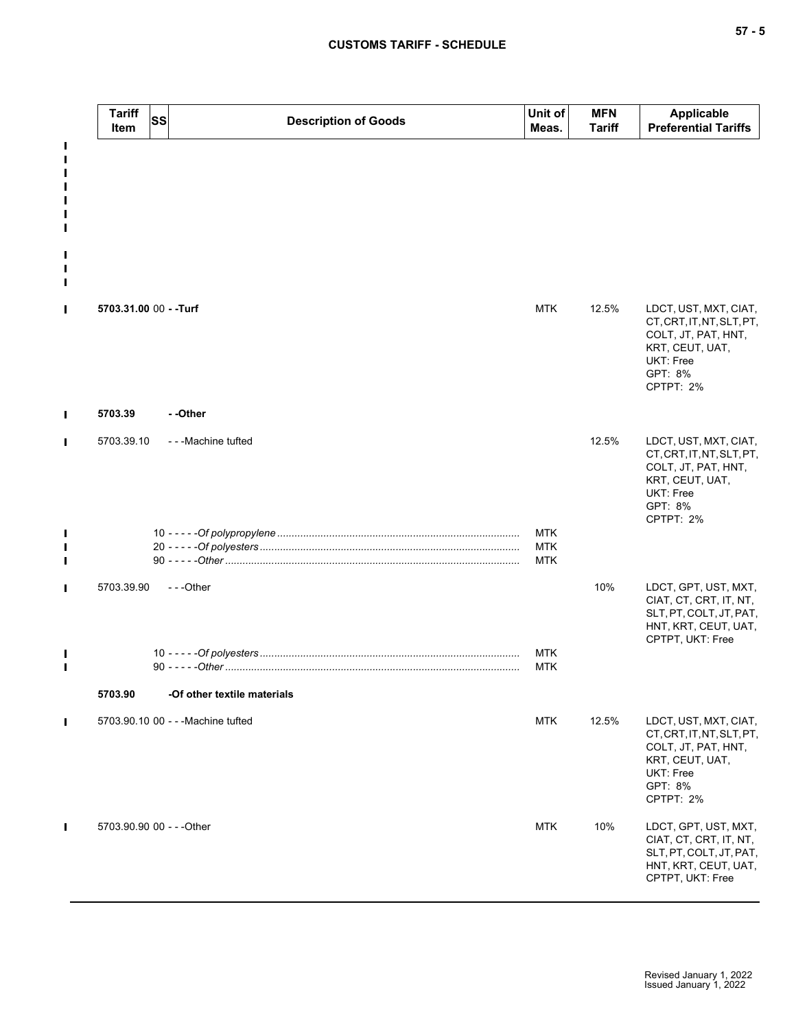## **CUSTOMS TARIFF - SCHEDULE**

|   | <b>Tariff</b><br>Item     | <b>SS</b> | <b>Description of Goods</b>        | Unit of<br>Meas.         | <b>MFN</b><br><b>Tariff</b> | Applicable<br><b>Preferential Tariffs</b>                                                                                                |
|---|---------------------------|-----------|------------------------------------|--------------------------|-----------------------------|------------------------------------------------------------------------------------------------------------------------------------------|
|   |                           |           |                                    |                          |                             |                                                                                                                                          |
|   |                           |           |                                    |                          |                             |                                                                                                                                          |
|   | 5703.31.00 00 - - Turf    |           |                                    | <b>MTK</b>               | 12.5%                       | LDCT, UST, MXT, CIAT,<br>CT, CRT, IT, NT, SLT, PT,<br>COLT, JT, PAT, HNT,<br>KRT, CEUT, UAT,<br>UKT: Free<br>GPT: 8%<br>CPTPT: 2%        |
| П | 5703.39                   |           | --Other                            |                          |                             |                                                                                                                                          |
| П | 5703.39.10                |           | ---Machine tufted                  |                          | 12.5%                       | LDCT, UST, MXT, CIAT,<br>CT, CRT, IT, NT, SLT, PT,<br>COLT, JT, PAT, HNT,<br>KRT, CEUT, UAT,<br>UKT: Free<br>GPT: 8%<br>CPTPT: 2%        |
|   |                           |           |                                    | <b>MTK</b>               |                             |                                                                                                                                          |
|   |                           |           |                                    | <b>MTK</b><br><b>MTK</b> |                             |                                                                                                                                          |
|   | 5703.39.90                |           | ---Other                           |                          | 10%                         | LDCT, GPT, UST, MXT,<br>CIAT, CT, CRT, IT, NT,<br>SLT, PT, COLT, JT, PAT,<br>HNT, KRT, CEUT, UAT,<br>CPTPT, UKT: Free                    |
|   |                           |           |                                    | <b>MTK</b><br><b>MTK</b> |                             |                                                                                                                                          |
|   | 5703.90                   |           | -Of other textile materials        |                          |                             |                                                                                                                                          |
| Ш |                           |           | 5703.90.10 00 - - - Machine tufted | <b>MTK</b>               | 12.5%                       | LDCT, UST, MXT, CIAT,<br>CT, CRT, IT, NT, SLT, PT,<br>COLT, JT, PAT, HNT,<br>KRT, CEUT, UAT,<br><b>UKT: Free</b><br>GPT: 8%<br>CPTPT: 2% |
| П | 5703.90.90 00 - - - Other |           |                                    | <b>MTK</b>               | 10%                         | LDCT, GPT, UST, MXT,<br>CIAT, CT, CRT, IT, NT,<br>SLT, PT, COLT, JT, PAT,<br>HNT, KRT, CEUT, UAT,<br>CPTPT, UKT: Free                    |